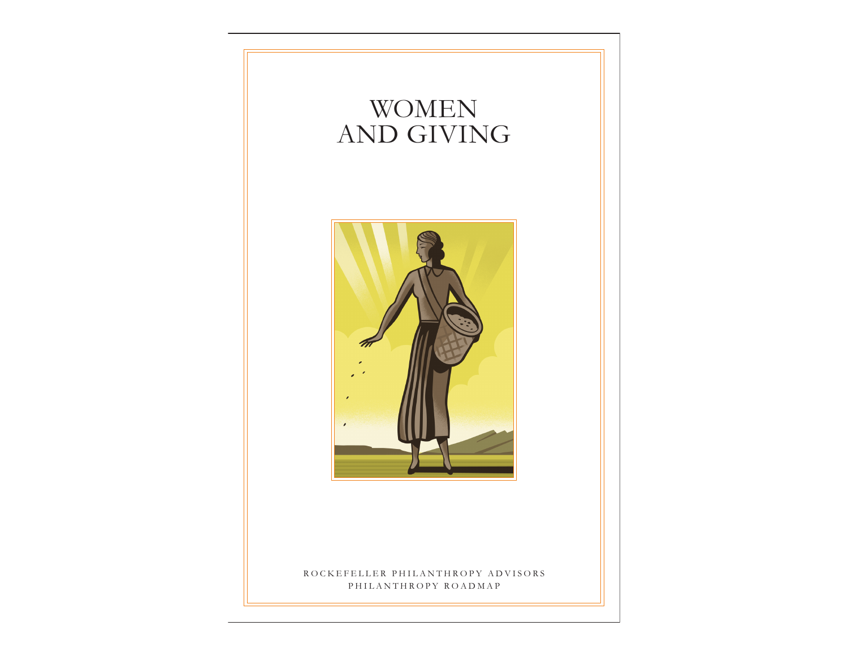# WOMEN AND GIVING



## ROCKEFELLER PHILANTHROPY ADVISORS PHILANTHROPY ROADMAP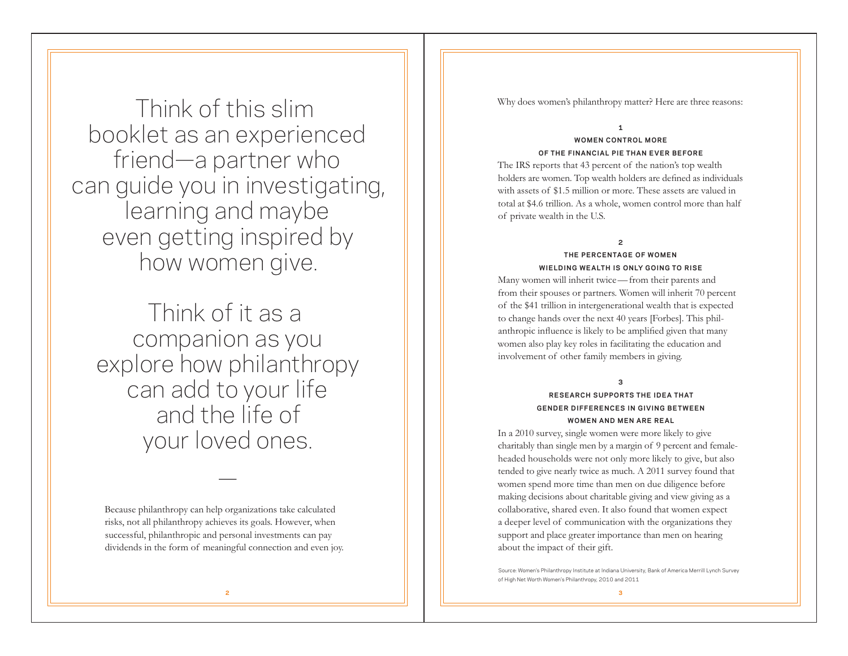Think of this slim booklet as an experienced friend—a partner who can guide you in investigating, learning and maybe even getting inspired by how women give.

Think of it as a companion as you explore how philanthropy can add to your life and the life of your loved ones.

Because philanthropy can help organizations take calculated risks, not all philanthropy achieves its goals. However, when successful, philanthropic and personal investments can pay dividends in the form of meaningful connection and even joy.

—

Why does women's philanthropy matter? Here are three reasons:

#### **1**

### **WOMEN CONTROL MORE OF THE FINANCIAL PIE THAN EVER BEFORE**

The IRS reports that 43 percent of the nation's top wealth holders are women. Top wealth holders are defined as individuals with assets of \$1.5 million or more. These assets are valued in total at \$4.6 trillion. As a whole, women control more than half of private wealth in the U.S.

#### **2**

### **THE PERCENTAGE OF WOMEN WIELDING WEALTH IS ONLY GOING TO RISE**

Many women will inherit twice—from their parents and from their spouses or partners. Women will inherit 70 percent of the \$41 trillion in intergenerational wealth that is expected to change hands over the next 40 years [Forbes]. This philanthropic influence is likely to be amplified given that many women also play key roles in facilitating the education and involvement of other family members in giving.

**3**

## **RESEARCH SUPPORTS THE IDEA THAT GENDER DIFFERENCES IN GIVING BETWEEN WOMEN AND MEN ARE REAL**

In a 2010 survey, single women were more likely to give charitably than single men by a margin of 9 percent and femaleheaded households were not only more likely to give, but also tended to give nearly twice as much. A 2011 survey found that women spend more time than men on due diligence before making decisions about charitable giving and view giving as a collaborative, shared even. It also found that women expect a deeper level of communication with the organizations they support and place greater importance than men on hearing about the impact of their gift.

Source: Women's Philanthropy Institute at Indiana University, Bank of America Merrill Lynch Survey of High Net Worth Women's Philanthropy, 2010 and 2011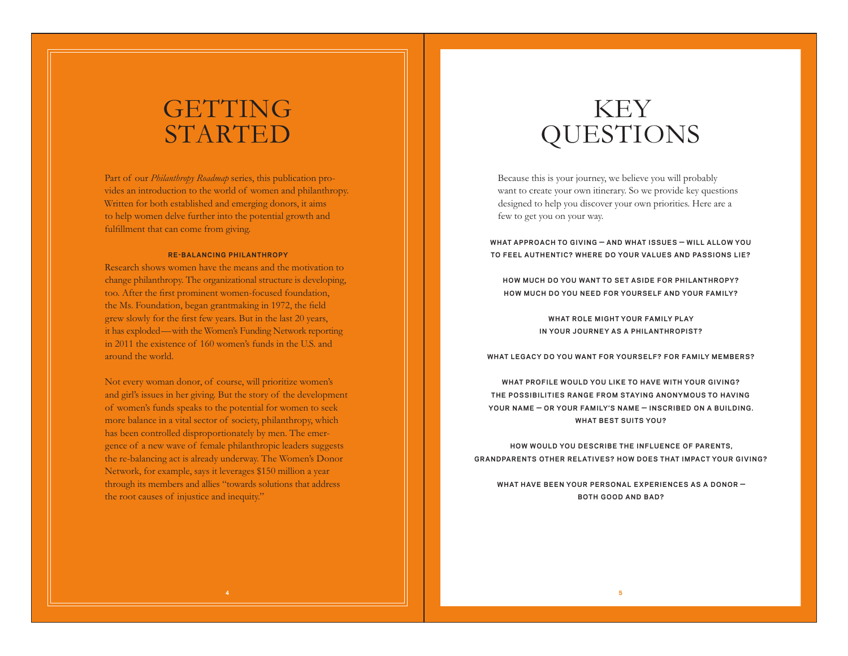# **GETTING** STARTED

Part of our *Philanthropy Roadmap* series, this publication provides an introduction to the world of women and philanthropy. Written for both established and emerging donors, it aims to help women delve further into the potential growth and fulfillment that can come from giving.

#### **RE-BALANCING PHILANTHROPY**

Research shows women have the means and the motivation to change philanthropy. The organizational structure is developing, too. After the first prominent women-focused foundation, the Ms. Foundation, began grantmaking in 1972, the field grew slowly for the first few years. But in the last 20 years, it has exploded—with the Women's Funding Network reporting in 2011 the existence of 160 women's funds in the U.S. and around the world.

Not every woman donor, of course, will prioritize women's and girl's issues in her giving. But the story of the development of women's funds speaks to the potential for women to seek more balance in a vital sector of society, philanthropy, which has been controlled disproportionately by men. The emergence of a new wave of female philanthropic leaders suggests the re-balancing act is already underway. The Women's Donor Network, for example, says it leverages \$150 million a year through its members and allies "towards solutions that address the root causes of injustice and inequity."

# KEY QUESTIONS

Because this is your journey, we believe you will probably want to create your own itinerary. So we provide key questions designed to help you discover your own priorities. Here are a few to get you on your way.

**WHAT APPROACH TO GIVING — AND WHAT ISSUES — W ILL ALLOW YOU TO FEEL AUTHENTIC? WHERE DO YOUR VALUES AND PASSIONS LIE?**

**HOW MUCH DO YOU WANT TO SET ASIDE FOR PHILANTHROPY?** HOW MUCH DO YOU NEED FOR YOURSELF AND YOUR FAMILY?

> WHAT ROLE MIGHT YOUR FAMILY PLAY **IN YOUR JOURNEY AS A PHILANTHROPIST?**

WHAT LEGACY DO YOU WANT FOR YOURSELF? FOR FAMILY MEMBERS?

WHAT PROFILE WOULD YOU LIKE TO HAVE WITH YOUR GIVING? **THE POSSIBILITIES RANGE FROM STAYING ANONYMOUS TO HAVING** YOUR NAME – OR YOUR FAMILY'S NAME – INSCRIBED ON A BUILDING. **WHAT BEST SUITS YOU?**

**HOW WOULD YOU DESCR IBE THE INFLUENCE OF PARENTS, GRANDPARENTS OTHER RELAT IVES? HOW DOES THAT IMPACT YOUR G IV ING?**

**WHAT HAVE BEEN YOUR PERSONAL EXPERIENCES AS A DONOR — BOTH GOOD AND BAD?**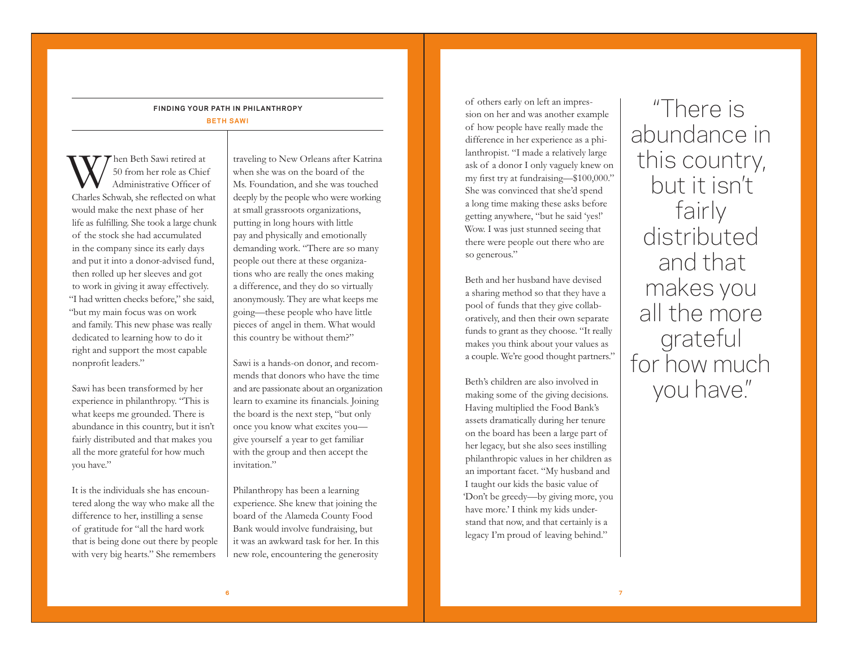## **FINDING YOUR PATH IN PHILANTHROPY**

**BETH SAWI**

When Beth Sawi retired at Charles Schwab, she reflected on what 50 from her role as Chief Administrative Officer of would make the next phase of her life as fulfilling. She took a large chunk of the stock she had accumulated in the company since its early days and put it into a donor-advised fund, then rolled up her sleeves and got to work in giving it away effectively. "I had written checks before," she said, "but my main focus was on work and family. This new phase was really dedicated to learning how to do it right and support the most capable nonprofit leaders."

Sawi has been transformed by her experience in philanthropy. "This is what keeps me grounded. There is abundance in this country, but it isn't fairly distributed and that makes you all the more grateful for how much you have."

It is the individuals she has encountered along the way who make all the difference to her, instilling a sense of gratitude for "all the hard work that is being done out there by people with very big hearts." She remembers

traveling to New Orleans after Katrina when she was on the board of the Ms. Foundation, and she was touched deeply by the people who were working at small grassroots organizations, putting in long hours with little pay and physically and emotionally demanding work. "There are so many people out there at these organizations who are really the ones making a difference, and they do so virtually anonymously. They are what keeps me going—these people who have little pieces of angel in them. What would this country be without them?"

Sawi is a hands-on donor, and recommends that donors who have the time and are passionate about an organization learn to examine its financials. Joining the board is the next step, "but only once you know what excites you give yourself a year to get familiar with the group and then accept the invitation."

Philanthropy has been a learning experience. She knew that joining the board of the Alameda County Food Bank would involve fundraising, but it was an awkward task for her. In this new role, encountering the generosity

of others early on left an impression on her and was another example of how people have really made the difference in her experience as a philanthropist. "I made a relatively large ask of a donor I only vaguely knew on my first try at fundraising—\$100,000." She was convinced that she'd spend a long time making these asks before getting anywhere, "but he said 'yes!' Wow. I was just stunned seeing that there were people out there who are so generous."

Beth and her husband have devised a sharing method so that they have a pool of funds that they give collaboratively, and then their own separate funds to grant as they choose. "It really makes you think about your values as a couple. We're good thought partners."

Beth's children are also involved in making some of the giving decisions. Having multiplied the Food Bank's assets dramatically during her tenure on the board has been a large part of her legacy, but she also sees instilling philanthropic values in her children as an important facet. "My husband and I taught our kids the basic value of 'Don't be greedy—by giving more, you have more.' I think my kids understand that now, and that certainly is a legacy I'm proud of leaving behind."

"There is abundance in this country, but it isn't fairly distributed and that makes you all the more grateful for how much you have."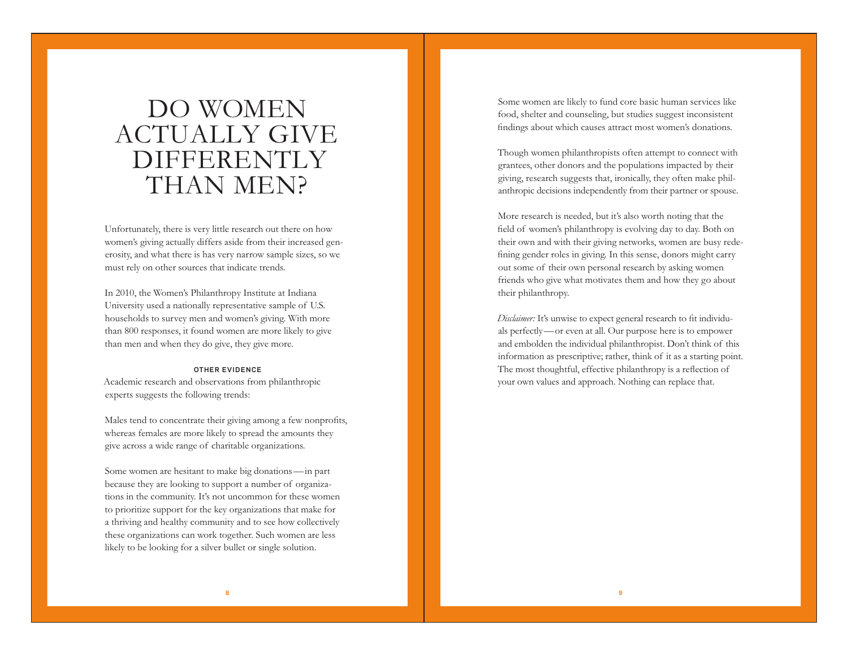# DO WOMEN ACTUALLY GIVE **DIFFERENTLY** THAN MEN?

Unfortunately, there is very little research out there on how women's giving actually differs aside from their increased generosity, and what there is has very narrow sample sizes, so we must rely on other sources that indicate trends.

In 2010, the Women's Philanthropy Institute at Indiana University used a nationally representative sample of U.S. households to survey men and women's giving. With more than 800 responses, it found women are more likely to give than men and when they do give, they give more.

### **OTHER EV IDENCE**

Academic research and observations from philanthropic experts suggests the following trends:

Males tend to concentrate their giving among a few nonprofits, whereas females are more likely to spread the amounts they give across a wide range of charitable organizations.

Some women are hesitant to make big donations—in part because they are looking to support a number of organizations in the community. It's not uncommon for these women to prioritize support for the key organizations that make for a thriving and healthy community and to see how collectively these organizations can work together. Such women are less likely to be looking for a silver bullet or single solution.

Some women are likely to fund core basic human services like food, shelter and counseling, but studies suggest inconsistent findings about which causes attract most women's donations.

Though women philanthropists often attempt to connect with grantees, other donors and the populations impacted by their giving, research suggests that, ironically, they often make philanthropic decisions independently from their partner or spouse.

More research is needed, but it's also worth noting that the field of women's philanthropy is evolving day to day. Both on their own and with their giving networks, women are busy redefining gender roles in giving. In this sense, donors might carry out some of their own personal research by asking women friends who give what motivates them and how they go about their philanthropy.

*Disclaimer:* It's unwise to expect general research to fit individuals perfectly—or even at all. Our purpose here is to empower and embolden the individual philanthropist. Don't think of this information as prescriptive; rather, think of it as a starting point. The most thoughtful, effective philanthropy is a reflection of your own values and approach. Nothing can replace that.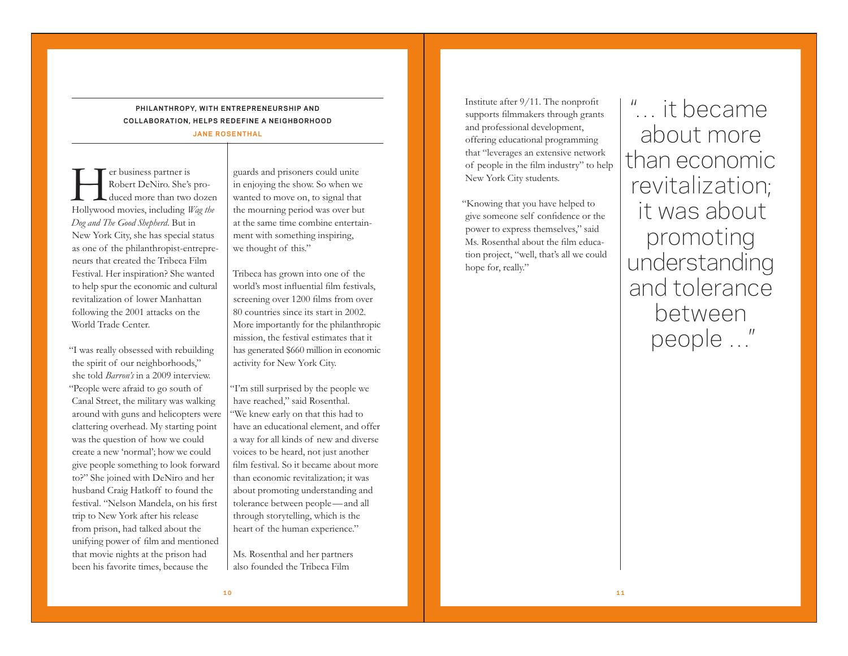### **PHILANTHROPY, WITH ENTREPRENEURSHIP AND COLLABORATION, HELPS REDEFINE A NEIGHBORHOOD JANE ROSENTHAL**

**Here is**<br> **Hollywood movies, including** *Wag the*<br>
Hollywood movies, including *Wag the* Robert DeNiro. She's produced more than two dozen *Dog and The Good Shepherd*. But in New York City, she has special status

as one of the philanthropist-entrepreneurs that created the Tribeca Film Festival. Her inspiration? She wanted to help spur the economic and cultural revitalization of lower Manhattan following the 2001 attacks on the World Trade Center.

"I was really obsessed with rebuilding the spirit of our neighborhoods," she told *Barron's* in a 2009 interview. "People were afraid to go south of Canal Street, the military was walking around with guns and helicopters were clattering overhead. My starting point was the question of how we could create a new 'normal'; how we could give people something to look forward to?" She joined with DeNiro and her husband Craig Hatkoff to found the festival. "Nelson Mandela, on his first trip to New York after his release from prison, had talked about the unifying power of film and mentioned that movie nights at the prison had been his favorite times, because the

guards and prisoners could unite in enjoying the show. So when we wanted to move on, to signal that the mourning period was over but at the same time combine entertainment with something inspiring, we thought of this."

Tribeca has grown into one of the world's most influential film festivals, screening over 1200 films from over 80 countries since its start in 2002. More importantly for the philanthropic mission, the festival estimates that it has generated \$660 million in economic activity for New York City.

"I'm still surprised by the people we have reached," said Rosenthal. "We knew early on that this had to have an educational element, and offer a way for all kinds of new and diverse voices to be heard, not just another film festival. So it became about more than economic revitalization; it was about promoting understanding and tolerance between people—and all through storytelling, which is the heart of the human experience."

Ms. Rosenthal and her partners also founded the Tribeca Film

Institute after 9/11. The nonprofit supports filmmakers through grants and professional development, offering educational programming that "leverages an extensive network of people in the film industry" to help New York City students.

"Knowing that you have helped to give someone self confidence or the power to express themselves," said Ms. Rosenthal about the film education project, "well, that's all we could hope for, really."

"… it became about more than economic revitalization; it was about promoting understanding and tolerance between people …"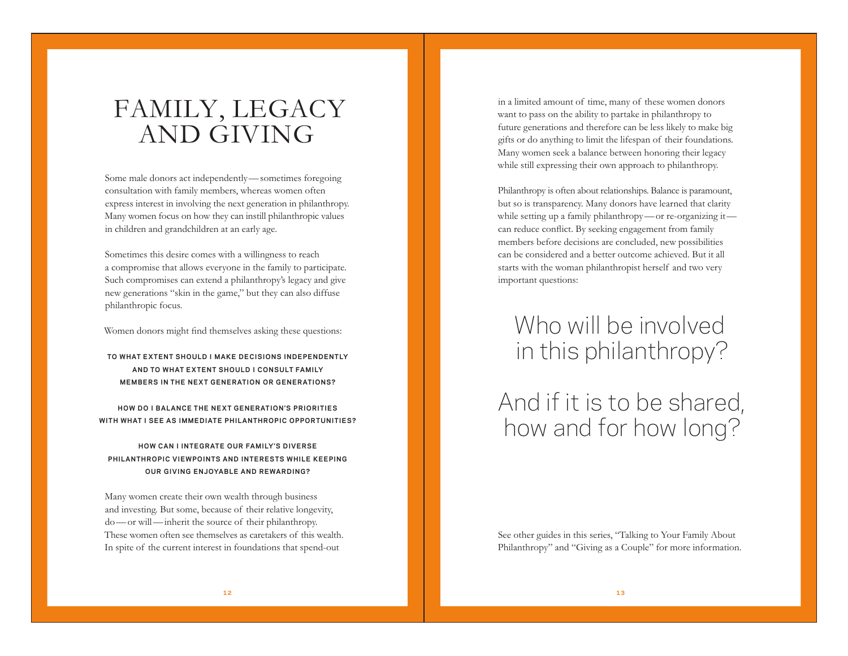# FAMILY, LEGACY AND GIVING

Some male donors act independently—sometimes foregoing consultation with family members, whereas women often express interest in involving the next generation in philanthropy. Many women focus on how they can instill philanthropic values in children and grandchildren at an early age.

Sometimes this desire comes with a willingness to reach a compromise that allows everyone in the family to participate. Such compromises can extend a philanthropy's legacy and give new generations "skin in the game," but they can also diffuse philanthropic focus.

Women donors might find themselves asking these questions:

### **TO WHAT EXTENT SHOULD I MAKE DEC IS IONS INDEPENDENTLY AND TO WHAT EXTENT SHOULD I CONSULT FAM ILY MEMBERS IN THE NEXT GENERATION OR GENERATIONS?**

**HOW DO I BALANCE THE NEXT GENERAT ION'S PR IOR IT IES WITH WHAT I SEE AS IMMEDIATE PHILANTHROPIC OPPORTUNITIES?**

## **HOW CAN I INTEGRATE OUR FAMILY'S DIVERSE PHILANTHROPIC VIEWPOINTS AND INTERESTS WHILE KEEPING OUR GIVING ENJOYABLE AND REWARDING?**

Many women create their own wealth through business and investing. But some, because of their relative longevity, do—or will—inherit the source of their philanthropy. These women often see themselves as caretakers of this wealth. In spite of the current interest in foundations that spend-out

in a limited amount of time, many of these women donors want to pass on the ability to partake in philanthropy to future generations and therefore can be less likely to make big gifts or do anything to limit the lifespan of their foundations. Many women seek a balance between honoring their legacy while still expressing their own approach to philanthropy.

Philanthropy is often about relationships. Balance is paramount, but so is transparency. Many donors have learned that clarity while setting up a family philanthropy—or re-organizing it can reduce conflict. By seeking engagement from family members before decisions are concluded, new possibilities can be considered and a better outcome achieved. But it all starts with the woman philanthropist herself and two very important questions:

# Who will be involved in this philanthropy?

And if it is to be shared, how and for how long?

See other guides in this series, "Talking to Your Family About Philanthropy" and "Giving as a Couple" for more information.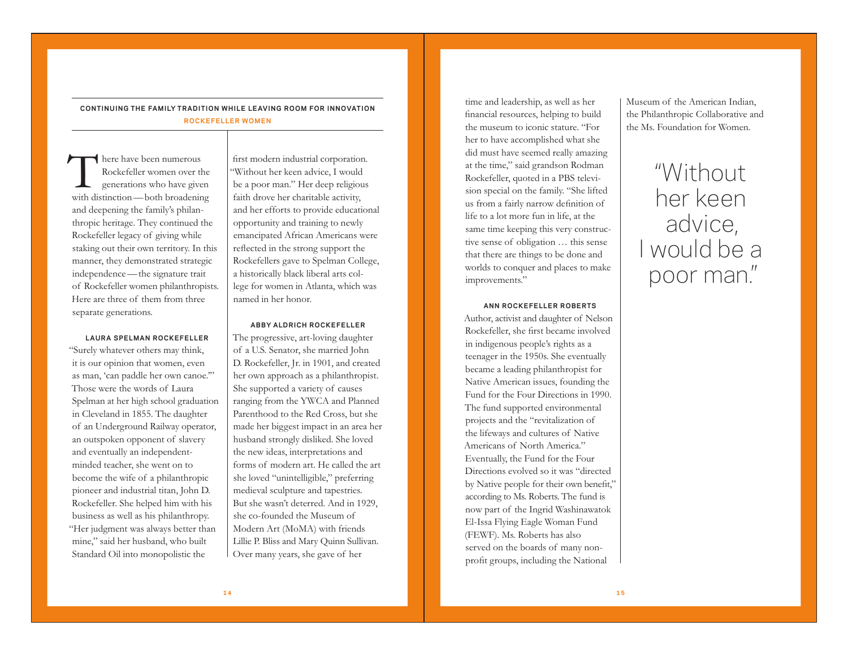## **CONT INU ING THE FAM ILY TRAD IT ION WH ILE LEAV ING ROOM FOR INNOVAT ION ROCKEFELLER WOMEN**

There have been numerous<br>
Rockefeller women over the<br>
generations who have given<br>
with distinction—both broadening Rockefeller women over the generations who have given and deepening the family's philanthropic heritage. They continued the Rockefeller legacy of giving while staking out their own territory. In this manner, they demonstrated strategic independence—the signature trait of Rockefeller women philanthropists. Here are three of them from three separate generations.

#### **LAURA SPELMAN ROCKEFELLER**

"Surely whatever others may think, it is our opinion that women, even as man, 'can paddle her own canoe.'" Those were the words of Laura Spelman at her high school graduation in Cleveland in 1855. The daughter of an Underground Railway operator, an outspoken opponent of slavery and eventually an independentminded teacher, she went on to become the wife of a philanthropic pioneer and industrial titan, John D. Rockefeller. She helped him with his business as well as his philanthropy. "Her judgment was always better than mine," said her husband, who built Standard Oil into monopolistic the

first modern industrial corporation. "Without her keen advice, I would be a poor man." Her deep religious faith drove her charitable activity, and her efforts to provide educational opportunity and training to newly emancipated African Americans were reflected in the strong support the Rockefellers gave to Spelman College, a historically black liberal arts college for women in Atlanta, which was named in her honor.

#### **ABBY ALDRICH ROCKEFELLER**

The progressive, art-loving daughter of a U.S. Senator, she married John D. Rockefeller, Jr. in 1901, and created her own approach as a philanthropist. She supported a variety of causes ranging from the YWCA and Planned Parenthood to the Red Cross, but she made her biggest impact in an area her husband strongly disliked. She loved the new ideas, interpretations and forms of modern art. He called the art she loved "unintelligible," preferring medieval sculpture and tapestries. But she wasn't deterred. And in 1929, she co-founded the Museum of Modern Art (MoMA) with friends Lillie P. Bliss and Mary Quinn Sullivan. Over many years, she gave of her

time and leadership, as well as her financial resources, helping to build the museum to iconic stature. "For her to have accomplished what she did must have seemed really amazing at the time," said grandson Rodman Rockefeller, quoted in a PBS television special on the family. "She lifted us from a fairly narrow definition of life to a lot more fun in life, at the same time keeping this very constructive sense of obligation … this sense that there are things to be done and worlds to conquer and places to make improvements."

#### **ANN ROCKEFELLER ROBERTS**

Author, activist and daughter of Nelson Rockefeller, she first became involved in indigenous people's rights as a teenager in the 1950s. She eventually became a leading philanthropist for Native American issues, founding the Fund for the Four Directions in 1990. The fund supported environmental projects and the "revitalization of the lifeways and cultures of Native Americans of North America." Eventually, the Fund for the Four Directions evolved so it was "directed by Native people for their own benefit," according to Ms. Roberts. The fund is now part of the Ingrid Washinawatok El-Issa Flying Eagle Woman Fund (FEWF). Ms. Roberts has also served on the boards of many nonprofit groups, including the National

Museum of the American Indian, the Philanthropic Collaborative and the Ms. Foundation for Women.

# "Without her keen advice, I would be a poor man."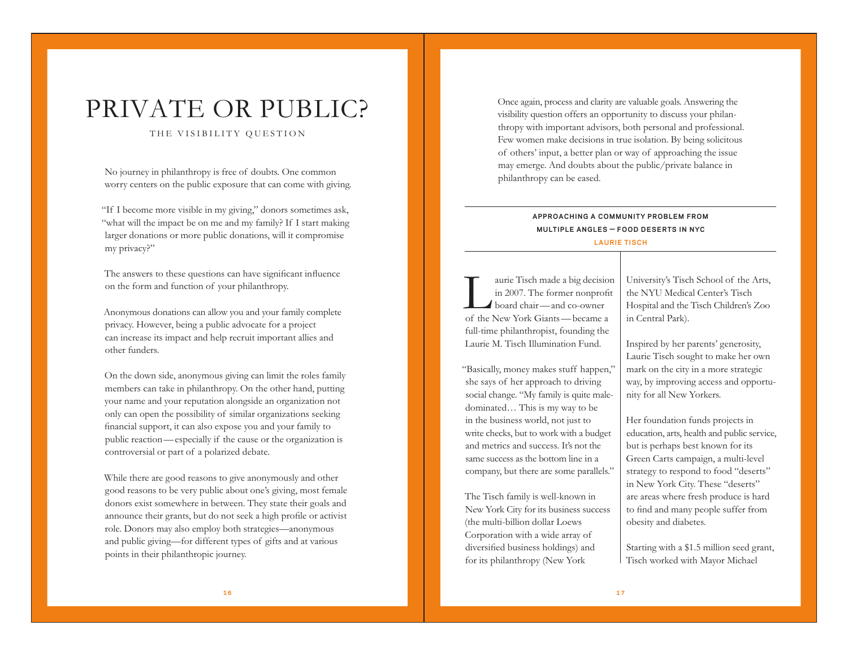# PRIVATE OR PUBLIC?

### THE VISIBILITY QUESTION

No journey in philanthropy is free of doubts. One common worry centers on the public exposure that can come with giving.

"If I become more visible in my giving," donors sometimes ask, "what will the impact be on me and my family? If I start making larger donations or more public donations, will it compromise my privacy?"

The answers to these questions can have significant influence on the form and function of your philanthropy.

Anonymous donations can allow you and your family complete privacy. However, being a public advocate for a project can increase its impact and help recruit important allies and other funders.

On the down side, anonymous giving can limit the roles family members can take in philanthropy. On the other hand, putting your name and your reputation alongside an organization not only can open the possibility of similar organizations seeking financial support, it can also expose you and your family to public reaction—especially if the cause or the organization is controversial or part of a polarized debate.

While there are good reasons to give anonymously and other good reasons to be very public about one's giving, most female donors exist somewhere in between. They state their goals and announce their grants, but do not seek a high profile or activist role. Donors may also employ both strategies—anonymous and public giving—for different types of gifts and at various points in their philanthropic journey.

Once again, process and clarity are valuable goals. Answering the visibility question offers an opportunity to discuss your philanthropy with important advisors, both personal and professional. Few women make decisions in true isolation. By being solicitous of others' input, a better plan or way of approaching the issue may emerge. And doubts about the public/private balance in philanthropy can be eased.

## **APPROACH ING A COMMUN ITY PROBLEM FROM MULTIPLE ANGLES — FOOD DESERTS IN NYC**

### **LAURIE TISCH**

aurie Tisch made a big decision in 2007. The former nonprofit board chair—and co-owner of the New York Giants—became a full-time philanthropist, founding the Laurie M. Tisch Illumination Fund.

"Basically, money makes stuff happen," she says of her approach to driving social change. "My family is quite maledominated… This is my way to be in the business world, not just to write checks, but to work with a budget and metrics and success. It's not the same success as the bottom line in a company, but there are some parallels."

The Tisch family is well-known in New York City for its business success (the multi-billion dollar Loews Corporation with a wide array of diversified business holdings) and for its philanthropy (New York

University's Tisch School of the Arts, the NYU Medical Center's Tisch Hospital and the Tisch Children's Zoo in Central Park).

Inspired by her parents' generosity, Laurie Tisch sought to make her own mark on the city in a more strategic way, by improving access and opportunity for all New Yorkers.

Her foundation funds projects in education, arts, health and public service, but is perhaps best known for its Green Carts campaign, a multi-level strategy to respond to food "deserts" in New York City. These "deserts" are areas where fresh produce is hard to find and many people suffer from obesity and diabetes.

Starting with a \$1.5 million seed grant, Tisch worked with Mayor Michael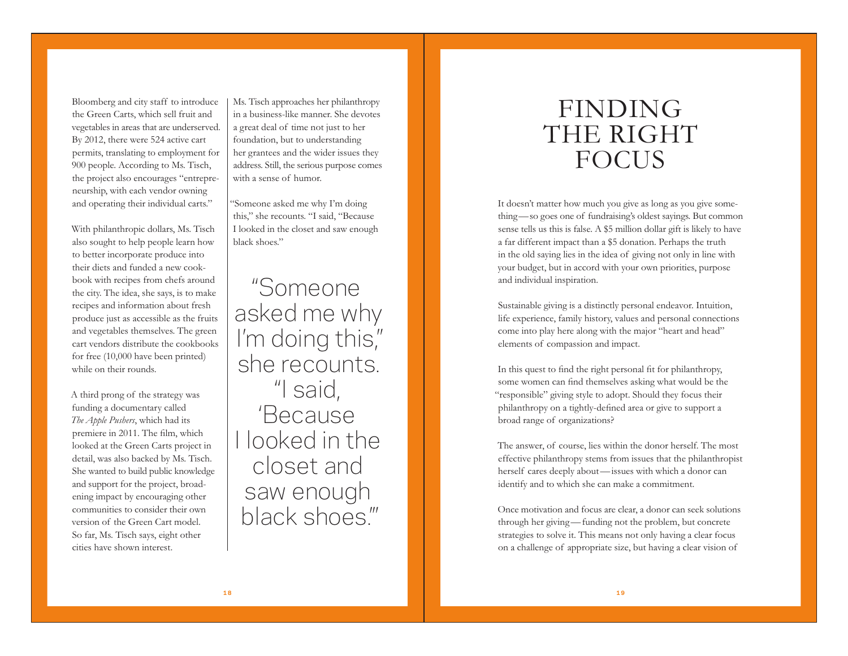Bloomberg and city staff to introduce the Green Carts, which sell fruit and vegetables in areas that are underserved. By 2012, there were 524 active cart permits, translating to employment for 900 people. According to Ms. Tisch, the project also encourages "entrepreneurship, with each vendor owning and operating their individual carts."

With philanthropic dollars, Ms. Tisch also sought to help people learn how to better incorporate produce into their diets and funded a new cookbook with recipes from chefs around the city. The idea, she says, is to make recipes and information about fresh produce just as accessible as the fruits and vegetables themselves. The green cart vendors distribute the cookbooks for free (10,000 have been printed) while on their rounds.

A third prong of the strategy was funding a documentary called *The Apple Pushers*, which had its premiere in 2011. The film, which looked at the Green Carts project in detail, was also backed by Ms. Tisch. She wanted to build public knowledge and support for the project, broadening impact by encouraging other communities to consider their own version of the Green Cart model. So far, Ms. Tisch says, eight other cities have shown interest.

Ms. Tisch approaches her philanthropy in a business-like manner. She devotes a great deal of time not just to her foundation, but to understanding her grantees and the wider issues they address. Still, the serious purpose comes with a sense of humor.

"Someone asked me why I'm doing this," she recounts. "I said, "Because I looked in the closet and saw enough black shoes."

"Someone asked me why I'm doing this," she recounts. "I said, 'Because I looked in the closet and saw enough black shoes.'"

# FINDING THE RIGHT **FOCUS**

It doesn't matter how much you give as long as you give something—so goes one of fundraising's oldest sayings. But common sense tells us this is false. A \$5 million dollar gift is likely to have a far different impact than a \$5 donation. Perhaps the truth in the old saying lies in the idea of giving not only in line with your budget, but in accord with your own priorities, purpose and individual inspiration.

Sustainable giving is a distinctly personal endeavor. Intuition, life experience, family history, values and personal connections come into play here along with the major "heart and head" elements of compassion and impact.

In this quest to find the right personal fit for philanthropy, some women can find themselves asking what would be the "responsible" giving style to adopt. Should they focus their philanthropy on a tightly-defined area or give to support a broad range of organizations?

The answer, of course, lies within the donor herself. The most effective philanthropy stems from issues that the philanthropist herself cares deeply about—issues with which a donor can identify and to which she can make a commitment.

Once motivation and focus are clear, a donor can seek solutions through her giving—funding not the problem, but concrete strategies to solve it. This means not only having a clear focus on a challenge of appropriate size, but having a clear vision of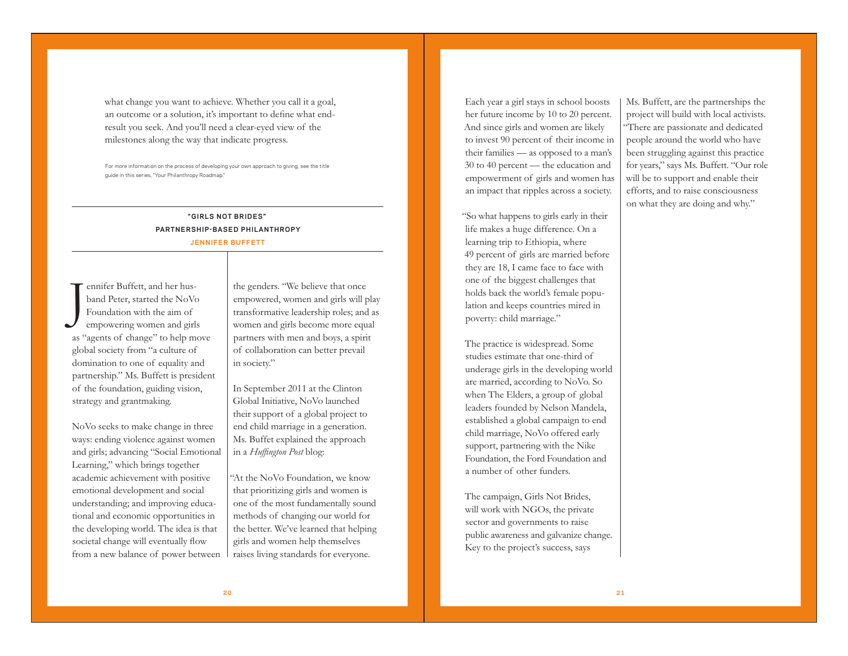what change you want to achieve. Whether you call it a goal, an outcome or a solution, it's important to define what endresult you seek. And you'll need a clear-eyed view of the milestones along the way that indicate progress.

For more information on the process of developing your own approach to giving, see the title guide in this series, "Your Philanthropy Roadmap."

## **"G IRLS NOT BR IDES " PARTNERSHIP-BASED PHILANTHROPY JENN IFER BUFFETT**

J ennifer Buffett, and her husband Peter, started the NoVo Foundation with the aim of empowering women and girls as "agents of change" to help move global society from "a culture of domination to one of equality and partnership." Ms. Buffett is president of the foundation, guiding vision, strategy and grantmaking.

NoVo seeks to make change in three ways: ending violence against women and girls; advancing "Social Emotional Learning," which brings together academic achievement with positive emotional development and social understanding; and improving educational and economic opportunities in the developing world. The idea is that societal change will eventually flow from a new balance of power between

the genders. "We believe that once empowered, women and girls will play transformative leadership roles; and as women and girls become more equal partners with men and boys, a spirit of collaboration can better prevail in society."

In September 2011 at the Clinton Global Initiative, NoVo launched their support of a global project to end child marriage in a generation. Ms. Buffet explained the approach in a *Huffington Post* blog:

"At the NoVo Foundation, we know that prioritizing girls and women is one of the most fundamentally sound methods of changing our world for the better. We've learned that helping girls and women help themselves raises living standards for everyone.

Each year a girl stays in school boosts her future income by 10 to 20 percent. And since girls and women are likely to invest 90 percent of their income in their families — as opposed to a man's 30 to 40 percent — the education and empowerment of girls and women has an impact that ripples across a society.

"So what happens to girls early in their life makes a huge difference. On a learning trip to Ethiopia, where 49 percent of girls are married before they are 18, I came face to face with one of the biggest challenges that holds back the world's female population and keeps countries mired in poverty: child marriage."

The practice is widespread. Some studies estimate that one-third of underage girls in the developing world are married, according to NoVo. So when The Elders, a group of global leaders founded by Nelson Mandela, established a global campaign to end child marriage, NoVo offered early support, partnering with the Nike Foundation, the Ford Foundation and a number of other funders.

The campaign, Girls Not Brides, will work with NGOs, the private sector and governments to raise public awareness and galvanize change. Key to the project's success, says

Ms. Buffett, are the partnerships the project will build with local activists. "There are passionate and dedicated people around the world who have been struggling against this practice for years," says Ms. Buffett. "Our role will be to support and enable their efforts, and to raise consciousness on what they are doing and why."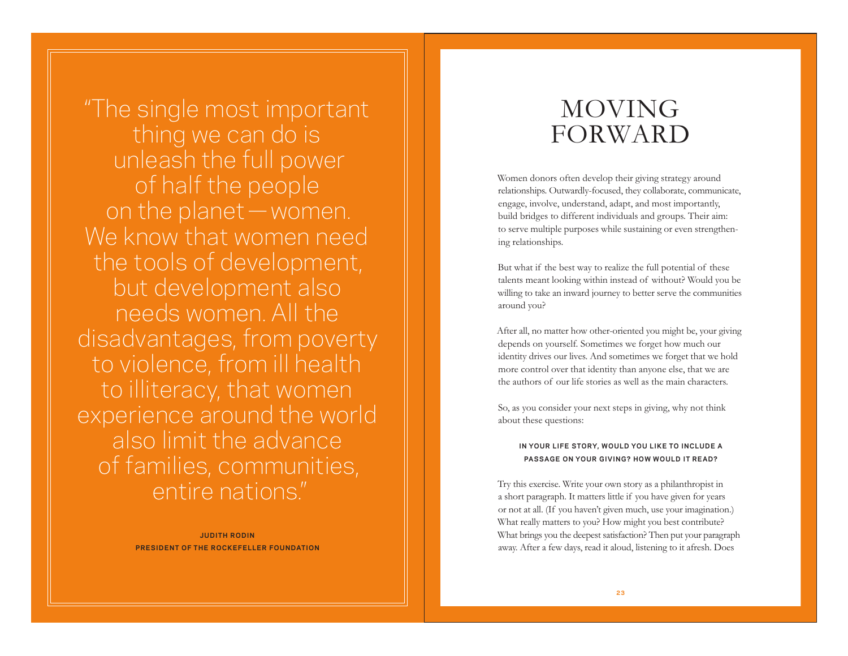"The single most important thing we can do is unleash the full power of half the people on the planet—women. We know that women need the tools of development, but development also needs women. All the disadvantages, from poverty to violence, from ill health to illiteracy, that women experience around the world also limit the advance of families, communities, entire nations."

> **JUDITH RODIN PRESIDENT OF THE ROCKEFELLER FOUNDATION**

# MOVING FORWARD

Women donors often develop their giving strategy around relationships. Outwardly-focused, they collaborate, communicate, engage, involve, understand, adapt, and most importantly, build bridges to different individuals and groups. Their aim: to serve multiple purposes while sustaining or even strengthening relationships.

But what if the best way to realize the full potential of these talents meant looking within instead of without? Would you be willing to take an inward journey to better serve the communities around you?

After all, no matter how other-oriented you might be, your giving depends on yourself. Sometimes we forget how much our identity drives our lives. And sometimes we forget that we hold more control over that identity than anyone else, that we are the authors of our life stories as well as the main characters.

So, as you consider your next steps in giving, why not think about these questions:

### IN YOUR LIFE STORY, WOULD YOU LIKE TO INCLUDE A **PASSAGE ON YOUR GIVING? HOW WOULD IT READ?**

Try this exercise. Write your own story as a philanthropist in a short paragraph. It matters little if you have given for years or not at all. (If you haven't given much, use your imagination.) What really matters to you? How might you best contribute? What brings you the deepest satisfaction? Then put your paragraph away. After a few days, read it aloud, listening to it afresh. Does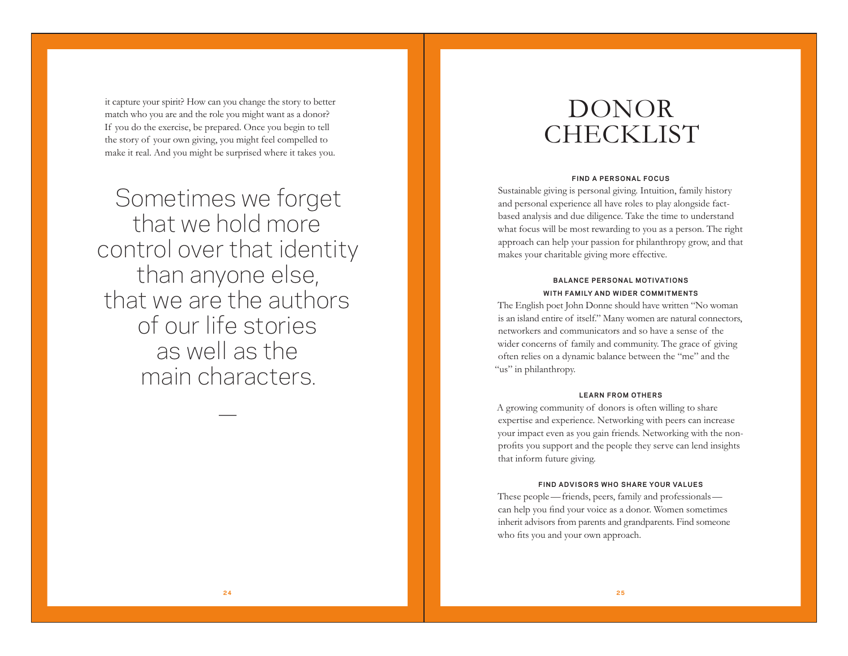it capture your spirit? How can you change the story to better match who you are and the role you might want as a donor? If you do the exercise, be prepared. Once you begin to tell the story of your own giving, you might feel compelled to make it real. And you might be surprised where it takes you.

Sometimes we forget that we hold more control over that identity than anyone else, that we are the authors of our life stories as well as the main characters.

—

# DONOR CHECKLIST

### **FIND A PERSONAL FOCUS**

Sustainable giving is personal giving. Intuition, family history and personal experience all have roles to play alongside factbased analysis and due diligence. Take the time to understand what focus will be most rewarding to you as a person. The right approach can help your passion for philanthropy grow, and that makes your charitable giving more effective.

### **BALANCE PERSONAL MOTIVATIONS** WITH FAMILY AND WIDER COMMITMENTS

The English poet John Donne should have written "No woman is an island entire of itself." Many women are natural connectors, networkers and communicators and so have a sense of the wider concerns of family and community. The grace of giving often relies on a dynamic balance between the "me" and the "us" in philanthropy.

#### **LEARN FROM OTHERS**

A growing community of donors is often willing to share expertise and experience. Networking with peers can increase your impact even as you gain friends. Networking with the nonprofits you support and the people they serve can lend insights that inform future giving.

#### **FIND ADVISORS WHO SHARE YOUR VALUES**

These people—friends, peers, family and professionals can help you find your voice as a donor. Women sometimes inherit advisors from parents and grandparents. Find someone who fits you and your own approach.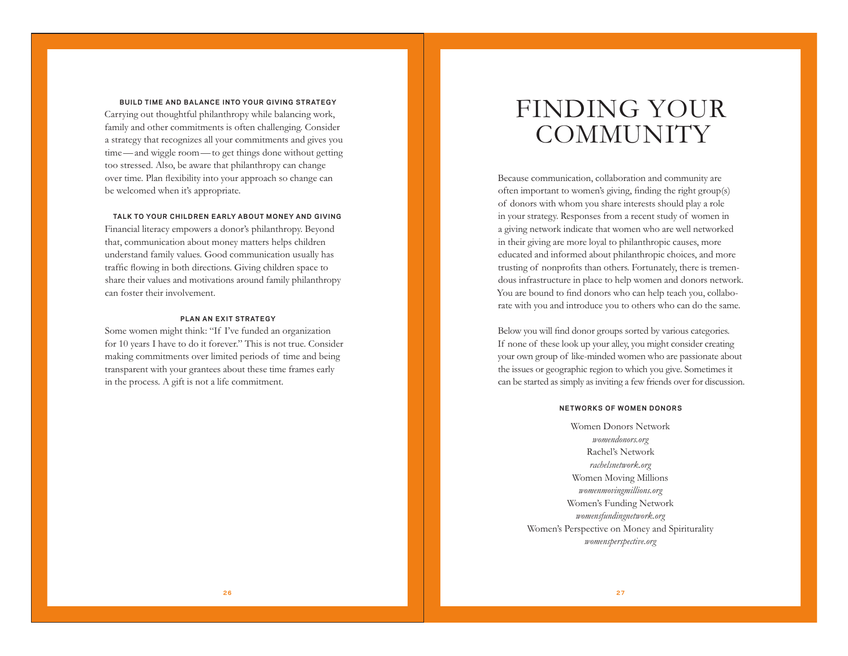#### **BUILD TIME AND BALANCE INTO YOUR GIVING STRATEGY**

Carrying out thoughtful philanthropy while balancing work, family and other commitments is often challenging. Consider a strategy that recognizes all your commitments and gives you time—and wiggle room—to get things done without getting too stressed. Also, be aware that philanthropy can change over time. Plan flexibility into your approach so change can be welcomed when it's appropriate.

#### TALK TO YOUR CHILDREN EARLY ABOUT MONEY AND GIVING

Financial literacy empowers a donor's philanthropy. Beyond that, communication about money matters helps children understand family values. Good communication usually has traffic flowing in both directions. Giving children space to share their values and motivations around family philanthropy can foster their involvement.

### **PLAN AN EXIT STRATEGY**

Some women might think: "If I've funded an organization for 10 years I have to do it forever." This is not true. Consider making commitments over limited periods of time and being transparent with your grantees about these time frames early in the process. A gift is not a life commitment.

# FINDING YOUR **COMMUNITY**

Because communication, collaboration and community are often important to women's giving, finding the right group(s) of donors with whom you share interests should play a role in your strategy. Responses from a recent study of women in a giving network indicate that women who are well networked in their giving are more loyal to philanthropic causes, more educated and informed about philanthropic choices, and more trusting of nonprofits than others. Fortunately, there is tremendous infrastructure in place to help women and donors network. You are bound to find donors who can help teach you, collaborate with you and introduce you to others who can do the same.

Below you will find donor groups sorted by various categories. If none of these look up your alley, you might consider creating your own group of like-minded women who are passionate about the issues or geographic region to which you give. Sometimes it can be started as simply as inviting a few friends over for discussion.

#### **NETWORKS OF WOMEN DONORS**

Women Donors Network *womendonors.org* Rachel's Network *rachelsnetwork.org* Women Moving Millions *womenmovingmillions.org* Women's Funding Network *womensfundingnetwork.org*  Women's Perspective on Money and Spiriturality *womensperspective.org*